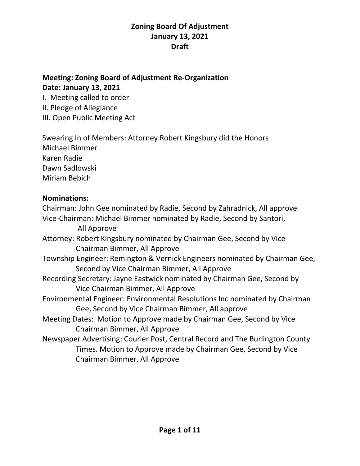### **Meeting: Zoning Board of Adjustment Re-Organization Date: January 13, 2021**

I. Meeting called to order II. Pledge of Allegiance

III. Open Public Meeting Act

Swearing In of Members: Attorney Robert Kingsbury did the Honors Michael Bimmer Karen Radie Dawn Sadlowski Miriam Bebich

### **Nominations:**

Chairman: John Gee nominated by Radie, Second by Zahradnick, All approve Vice-Chairman: Michael Bimmer nominated by Radie, Second by Santori, All Approve Attorney: Robert Kingsbury nominated by Chairman Gee, Second by Vice Chairman Bimmer, All Approve Township Engineer: Remington & Vernick Engineers nominated by Chairman Gee, Second by Vice Chairman Bimmer, All Approve Recording Secretary: Jayne Eastwick nominated by Chairman Gee, Second by Vice Chairman Bimmer, All Approve Environmental Engineer: Environmental Resolutions Inc nominated by Chairman Gee, Second by Vice Chairman Bimmer, All approve Meeting Dates: Motion to Approve made by Chairman Gee, Second by Vice Chairman Bimmer, All Approve Newspaper Advertising: Courier Post, Central Record and The Burlington County Times. Motion to Approve made by Chairman Gee, Second by Vice Chairman Bimmer, All Approve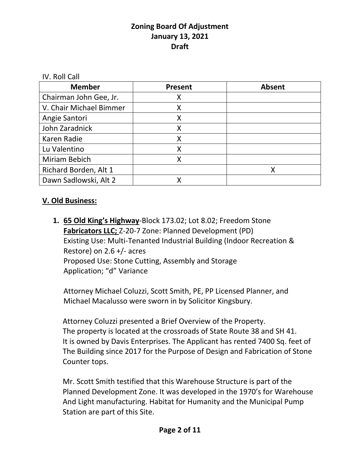IV. Roll Call

| <b>Member</b>           | <b>Present</b> | <b>Absent</b> |
|-------------------------|----------------|---------------|
| Chairman John Gee, Jr.  | Χ              |               |
| V. Chair Michael Bimmer | Χ              |               |
| Angie Santori           |                |               |
| John Zaradnick          |                |               |
| Karen Radie             | Χ              |               |
| Lu Valentino            |                |               |
| Miriam Bebich           |                |               |
| Richard Borden, Alt 1   |                | X             |
| Dawn Sadlowski, Alt 2   |                |               |

### **V. Old Business:**

**1. 65 Old King's Highway**-Block 173.02; Lot 8.02; Freedom Stone **Fabricators LLC;** Z-20-7 Zone: Planned Development (PD) Existing Use: Multi-Tenanted Industrial Building (Indoor Recreation & Restore) on 2.6 +/- acres Proposed Use: Stone Cutting, Assembly and Storage Application; "d" Variance

Attorney Michael Coluzzi, Scott Smith, PE, PP Licensed Planner, and Michael Macalusso were sworn in by Solicitor Kingsbury.

 Attorney Coluzzi presented a Brief Overview of the Property. The property is located at the crossroads of State Route 38 and SH 41. It is owned by Davis Enterprises. The Applicant has rented 7400 Sq. feet of The Building since 2017 for the Purpose of Design and Fabrication of Stone Counter tops.

 Mr. Scott Smith testified that this Warehouse Structure is part of the Planned Development Zone. It was developed in the 1970's for Warehouse And Light manufacturing. Habitat for Humanity and the Municipal Pump Station are part of this Site.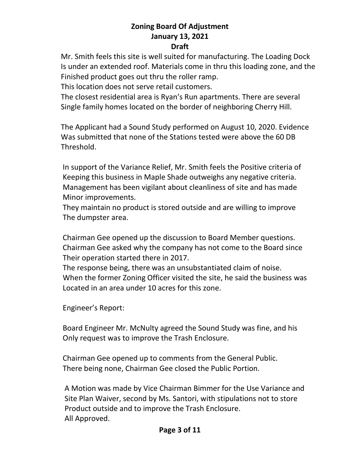#### **Draft**

 Mr. Smith feels this site is well suited for manufacturing. The Loading Dock Is under an extended roof. Materials come in thru this loading zone, and the Finished product goes out thru the roller ramp.

This location does not serve retail customers.

 The closest residential area is Ryan's Run apartments. There are several Single family homes located on the border of neighboring Cherry Hill.

 The Applicant had a Sound Study performed on August 10, 2020. Evidence Was submitted that none of the Stations tested were above the 60 DB Threshold.

 In support of the Variance Relief, Mr. Smith feels the Positive criteria of Keeping this business in Maple Shade outweighs any negative criteria. Management has been vigilant about cleanliness of site and has made Minor improvements.

 They maintain no product is stored outside and are willing to improve The dumpster area.

 Chairman Gee opened up the discussion to Board Member questions. Chairman Gee asked why the company has not come to the Board since Their operation started there in 2017.

 The response being, there was an unsubstantiated claim of noise. When the former Zoning Officer visited the site, he said the business was Located in an area under 10 acres for this zone.

Engineer's Report:

 Board Engineer Mr. McNulty agreed the Sound Study was fine, and his Only request was to improve the Trash Enclosure.

 Chairman Gee opened up to comments from the General Public. There being none, Chairman Gee closed the Public Portion.

 A Motion was made by Vice Chairman Bimmer for the Use Variance and Site Plan Waiver, second by Ms. Santori, with stipulations not to store Product outside and to improve the Trash Enclosure. All Approved.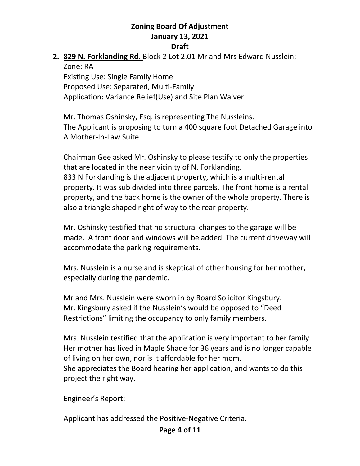## **2. 829 N. Forklanding Rd.** Block 2 Lot 2.01 Mr and Mrs Edward Nusslein; Zone: RA Existing Use: Single Family Home

Proposed Use: Separated, Multi-Family Application: Variance Relief(Use) and Site Plan Waiver

Mr. Thomas Oshinsky, Esq. is representing The Nussleins. The Applicant is proposing to turn a 400 square foot Detached Garage into A Mother-In-Law Suite.

Chairman Gee asked Mr. Oshinsky to please testify to only the properties that are located in the near vicinity of N. Forklanding. 833 N Forklanding is the adjacent property, which is a multi-rental property. It was sub divided into three parcels. The front home is a rental property, and the back home is the owner of the whole property. There is also a triangle shaped right of way to the rear property.

Mr. Oshinsky testified that no structural changes to the garage will be made. A front door and windows will be added. The current driveway will accommodate the parking requirements.

Mrs. Nusslein is a nurse and is skeptical of other housing for her mother, especially during the pandemic.

Mr and Mrs. Nusslein were sworn in by Board Solicitor Kingsbury. Mr. Kingsbury asked if the Nusslein's would be opposed to "Deed Restrictions" limiting the occupancy to only family members.

Mrs. Nusslein testified that the application is very important to her family. Her mother has lived in Maple Shade for 36 years and is no longer capable of living on her own, nor is it affordable for her mom. She appreciates the Board hearing her application, and wants to do this project the right way.

Engineer's Report:

Applicant has addressed the Positive-Negative Criteria.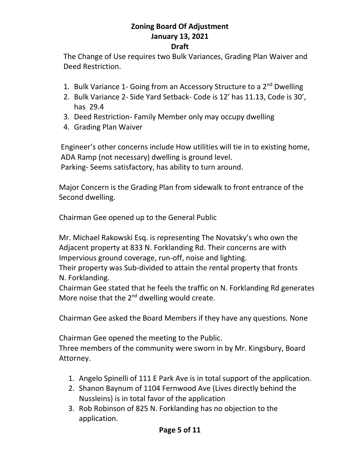#### **Draft**

The Change of Use requires two Bulk Variances, Grading Plan Waiver and Deed Restriction.

- 1. Bulk Variance 1- Going from an Accessory Structure to a 2<sup>nd</sup> Dwelling
- 2. Bulk Variance 2- Side Yard Setback- Code is 12' has 11.13, Code is 30', has 29.4
- 3. Deed Restriction- Family Member only may occupy dwelling
- 4. Grading Plan Waiver

 Engineer's other concerns include How utilities will tie in to existing home, ADA Ramp (not necessary) dwelling is ground level. Parking- Seems satisfactory, has ability to turn around.

 Major Concern is the Grading Plan from sidewalk to front entrance of the Second dwelling.

Chairman Gee opened up to the General Public

 Mr. Michael Rakowski Esq. is representing The Novatsky's who own the Adjacent property at 833 N. Forklanding Rd. Their concerns are with Impervious ground coverage, run-off, noise and lighting.

 Their property was Sub-divided to attain the rental property that fronts N. Forklanding.

 Chairman Gee stated that he feels the traffic on N. Forklanding Rd generates More noise that the  $2^{nd}$  dwelling would create.

Chairman Gee asked the Board Members if they have any questions. None

Chairman Gee opened the meeting to the Public.

 Three members of the community were sworn in by Mr. Kingsbury, Board Attorney.

- 1. Angelo Spinelli of 111 E Park Ave is in total support of the application.
- 2. Shanon Baynum of 1104 Fernwood Ave (Lives directly behind the Nussleins) is in total favor of the application
- 3. Rob Robinson of 825 N. Forklanding has no objection to the application.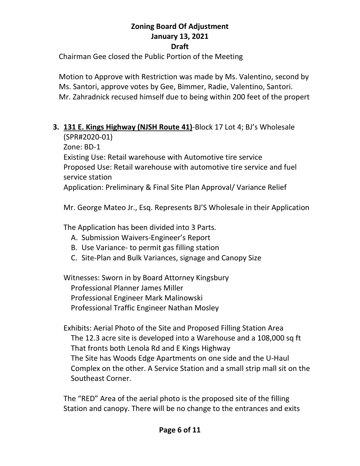#### **Draft**

Chairman Gee closed the Public Portion of the Meeting

 Motion to Approve with Restriction was made by Ms. Valentino, second by Ms. Santori, approve votes by Gee, Bimmer, Radie, Valentino, Santori. Mr. Zahradnick recused himself due to being within 200 feet of the propert

### **3. 131 E. Kings Highway (NJSH Route 41)**-Block 17 Lot 4; BJ's Wholesale (SPR#2020-01)

Zone: BD-1

Existing Use: Retail warehouse with Automotive tire service Proposed Use: Retail warehouse with automotive tire service and fuel service station

Application: Preliminary & Final Site Plan Approval/ Variance Relief

Mr. George Mateo Jr., Esq. Represents BJ'S Wholesale in their Application

The Application has been divided into 3 Parts.

- A. Submission Waivers-Engineer's Report
- B. Use Variance- to permit gas filling station
- C. Site-Plan and Bulk Variances, signage and Canopy Size

Witnesses: Sworn in by Board Attorney Kingsbury Professional Planner James Miller Professional Engineer Mark Malinowski Professional Traffic Engineer Nathan Mosley

Exhibits: Aerial Photo of the Site and Proposed Filling Station Area The 12.3 acre site is developed into a Warehouse and a 108,000 sq ft That fronts both Lenola Rd and E Kings Highway The Site has Woods Edge Apartments on one side and the U-Haul Complex on the other. A Service Station and a small strip mall sit on the Southeast Corner.

The "RED" Area of the aerial photo is the proposed site of the filling Station and canopy. There will be no change to the entrances and exits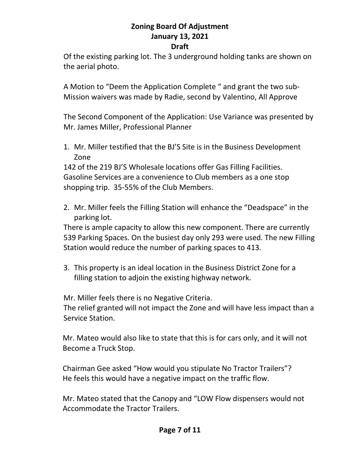#### **Draft**

Of the existing parking lot. The 3 underground holding tanks are shown on the aerial photo.

A Motion to "Deem the Application Complete " and grant the two sub-Mission waivers was made by Radie, second by Valentino, All Approve

The Second Component of the Application: Use Variance was presented by Mr. James Miller, Professional Planner

1. Mr. Miller testified that the BJ'S Site is in the Business Development Zone

142 of the 219 BJ'S Wholesale locations offer Gas Filling Facilities. Gasoline Services are a convenience to Club members as a one stop shopping trip. 35-55% of the Club Members.

2. Mr. Miller feels the Filling Station will enhance the "Deadspace" in the parking lot.

There is ample capacity to allow this new component. There are currently 539 Parking Spaces. On the busiest day only 293 were used. The new Filling Station would reduce the number of parking spaces to 413.

3. This property is an ideal location in the Business District Zone for a filling station to adjoin the existing highway network.

Mr. Miller feels there is no Negative Criteria.

The relief granted will not impact the Zone and will have less impact than a Service Station.

 Mr. Mateo would also like to state that this is for cars only, and it will not Become a Truck Stop.

 Chairman Gee asked "How would you stipulate No Tractor Trailers"? He feels this would have a negative impact on the traffic flow.

 Mr. Mateo stated that the Canopy and "LOW Flow dispensers would not Accommodate the Tractor Trailers.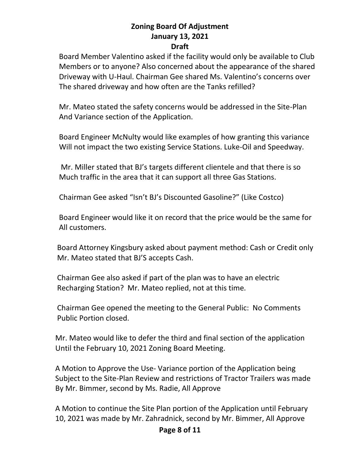Board Member Valentino asked if the facility would only be available to Club Members or to anyone? Also concerned about the appearance of the shared Driveway with U-Haul. Chairman Gee shared Ms. Valentino's concerns over The shared driveway and how often are the Tanks refilled?

 Mr. Mateo stated the safety concerns would be addressed in the Site-Plan And Variance section of the Application.

 Board Engineer McNulty would like examples of how granting this variance Will not impact the two existing Service Stations. Luke-Oil and Speedway.

 Mr. Miller stated that BJ's targets different clientele and that there is so Much traffic in the area that it can support all three Gas Stations.

Chairman Gee asked "Isn't BJ's Discounted Gasoline?" (Like Costco)

 Board Engineer would like it on record that the price would be the same for All customers.

 Board Attorney Kingsbury asked about payment method: Cash or Credit only Mr. Mateo stated that BJ'S accepts Cash.

 Chairman Gee also asked if part of the plan was to have an electric Recharging Station? Mr. Mateo replied, not at this time.

 Chairman Gee opened the meeting to the General Public: No Comments Public Portion closed.

 Mr. Mateo would like to defer the third and final section of the application Until the February 10, 2021 Zoning Board Meeting.

 A Motion to Approve the Use- Variance portion of the Application being Subject to the Site-Plan Review and restrictions of Tractor Trailers was made By Mr. Bimmer, second by Ms. Radie, All Approve

 A Motion to continue the Site Plan portion of the Application until February 10, 2021 was made by Mr. Zahradnick, second by Mr. Bimmer, All Approve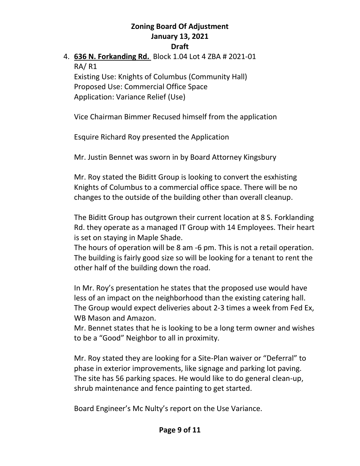### 4. **636 N. Forkanding Rd.** Block 1.04 Lot 4 ZBA # 2021-01 RA/ R1 Existing Use: Knights of Columbus (Community Hall) Proposed Use: Commercial Office Space Application: Variance Relief (Use)

Vice Chairman Bimmer Recused himself from the application

Esquire Richard Roy presented the Application

Mr. Justin Bennet was sworn in by Board Attorney Kingsbury

Mr. Roy stated the Biditt Group is looking to convert the esxhisting Knights of Columbus to a commercial office space. There will be no changes to the outside of the building other than overall cleanup.

The Biditt Group has outgrown their current location at 8 S. Forklanding Rd. they operate as a managed IT Group with 14 Employees. Their heart is set on staying in Maple Shade.

The hours of operation will be 8 am -6 pm. This is not a retail operation. The building is fairly good size so will be looking for a tenant to rent the other half of the building down the road.

In Mr. Roy's presentation he states that the proposed use would have less of an impact on the neighborhood than the existing catering hall. The Group would expect deliveries about 2-3 times a week from Fed Ex, WB Mason and Amazon.

Mr. Bennet states that he is looking to be a long term owner and wishes to be a "Good" Neighbor to all in proximity.

Mr. Roy stated they are looking for a Site-Plan waiver or "Deferral" to phase in exterior improvements, like signage and parking lot paving. The site has 56 parking spaces. He would like to do general clean-up, shrub maintenance and fence painting to get started.

Board Engineer's Mc Nulty's report on the Use Variance.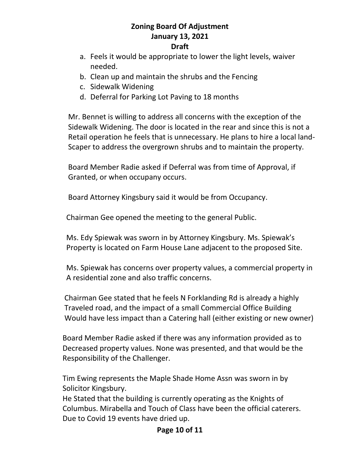#### **Draft**

- a. Feels it would be appropriate to lower the light levels, waiver needed.
- b. Clean up and maintain the shrubs and the Fencing
- c. Sidewalk Widening
- d. Deferral for Parking Lot Paving to 18 months

 Mr. Bennet is willing to address all concerns with the exception of the Sidewalk Widening. The door is located in the rear and since this is not a Retail operation he feels that is unnecessary. He plans to hire a local land- Scaper to address the overgrown shrubs and to maintain the property.

 Board Member Radie asked if Deferral was from time of Approval, if Granted, or when occupany occurs.

Board Attorney Kingsbury said it would be from Occupancy.

Chairman Gee opened the meeting to the general Public.

 Ms. Edy Spiewak was sworn in by Attorney Kingsbury. Ms. Spiewak's Property is located on Farm House Lane adjacent to the proposed Site.

 Ms. Spiewak has concerns over property values, a commercial property in A residential zone and also traffic concerns.

 Chairman Gee stated that he feels N Forklanding Rd is already a highly Traveled road, and the impact of a small Commercial Office Building Would have less impact than a Catering hall (either existing or new owner)

 Board Member Radie asked if there was any information provided as to Decreased property values. None was presented, and that would be the Responsibility of the Challenger.

 Tim Ewing represents the Maple Shade Home Assn was sworn in by Solicitor Kingsbury.

 He Stated that the building is currently operating as the Knights of Columbus. Mirabella and Touch of Class have been the official caterers. Due to Covid 19 events have dried up.